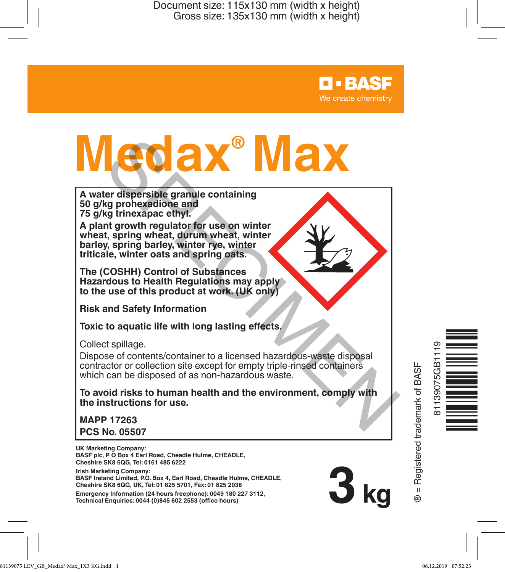# **Maxed and Separation**<br>
A water dispersible granule containing<br>
50 g/kg prohexadione and<br>
A plant growth regulator for use on winter<br>
wheat, spring wheat, during which wheat, winter<br>
wheat, spring barley, winter rye, winte

**A water dispersible granule containing 50 g/kg prohexadione and 75 g/kg trinexapac ethyl.**

**A plant growth regulator for use on winter wheat, spring wheat, durum wheat, winter barley, spring barley, winter rye, winter triticale, winter oats and spring oats.**

**The (COSHH) Control of Substances Hazardous to Health Regulations may apply to the use of this product at work. (UK only)**

**Risk and Safety Information**

**Toxic to aquatic life with long lasting effects.**

Collect spillage.

Dispose of contents/container to a licensed hazardous-waste disposal contractor or collection site except for empty triple-rinsed containers which can be disposed of as non-hazardous waste.

**To avoid risks to human health and the environment, comply with the instructions for use.**

**MAPP 17263 PCS No. 05507**

**UK Marketing Company: BASF plc, P O Box 4 Earl Road, Cheadle Hulme, CHEADLE, Cheshire SK8 6QG, Tel: 0161 485 6222**

**Irish Marketing Company:**

**BASF Ireland Limited, P.O. Box 4, Earl Road, Cheadle Hulme, CHEADLE, Cheshire SK8 6QG, UK, Tel: 01 825 5701, Fax: 01 825 2038**

**Emergency Information (24 hours freephone): 0049 180 227 3112, Technical Enquiries: 0044 (0)845 602 2553 (office hours)** 

**B** = Registered trademark of BASF ® = Registered trademark of BASF

**3 kg**

**D-BASF** We create chemistry

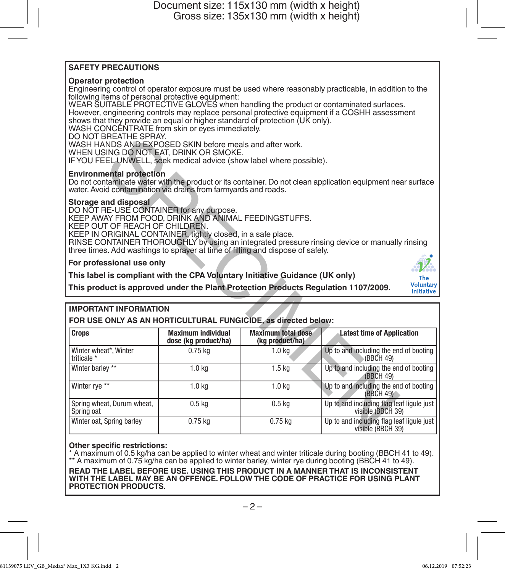### **SAFETY PRECAUTIONS**

### **Operator protection**

Engineering control of operator exposure must be used where reasonably practicable, in addition to the following items of personal protective equipment:

WEAR SUITABLE PROTECTIVE GLOVES when handling the product or contaminated surfaces. However, engineering controls may replace personal protective equipment if a COSHH assessment shows that they provide an equal or higher standard of protection (UK only).

WASH CONCENTRATE from skin or eyes immediately.

DO NOT BREATHE SPRAY.

### **Environmental protection**

### **Storage and disposal**

### **For professional use only**

### The Voluntary Initiative

### **IMPORTANT INFORMATION**

| DU NUT DHEATHE SPHAT.<br>WASH HANDS AND EXPOSED SKIN before meals and after work.<br>WHEN USING DO NOT EAT, DRINK OR SMOKE.<br>IF YOU FEEL UNWELL, seek medical advice (show label where possible).                                                                                                                                                                                                           |                                                   |                                              |                                                                |  |  |
|---------------------------------------------------------------------------------------------------------------------------------------------------------------------------------------------------------------------------------------------------------------------------------------------------------------------------------------------------------------------------------------------------------------|---------------------------------------------------|----------------------------------------------|----------------------------------------------------------------|--|--|
| <b>Environmental protection</b><br>Do not contaminate water with the product or its container. Do not clean application equipment near surface<br>water. Avoid contamination via drains from farmyards and roads.                                                                                                                                                                                             |                                                   |                                              |                                                                |  |  |
| Storage and disposal<br>DO NOT RE-USE CONTAINER for any purpose.<br>KEEP AWAY FROM FOOD, DRINK AND ANIMAL FEEDINGSTUFFS.<br>KEEP OUT OF REACH OF CHILDREN.<br>KEEP IN ORIGINAL CONTAINER, tightly closed, in a safe place.<br>RINSE CONTAINER THOROUGHLY by using an integrated pressure rinsing device or manually rinsing<br>three times. Add washings to sprayer at time of filling and dispose of safely. |                                                   |                                              |                                                                |  |  |
| For professional use only                                                                                                                                                                                                                                                                                                                                                                                     |                                                   |                                              |                                                                |  |  |
| This label is compliant with the CPA Voluntary Initiative Guidance (UK only)<br>The                                                                                                                                                                                                                                                                                                                           |                                                   |                                              |                                                                |  |  |
| <b>Voluntary</b><br>This product is approved under the Plant Protection Products Regulation 1107/2009.<br><b>Initiative</b>                                                                                                                                                                                                                                                                                   |                                                   |                                              |                                                                |  |  |
| <b>IMPORTANT INFORMATION</b><br>FOR USE ONLY AS AN HORTICULTURAL FUNGICIDE, as directed below:                                                                                                                                                                                                                                                                                                                |                                                   |                                              |                                                                |  |  |
| <b>Crops</b>                                                                                                                                                                                                                                                                                                                                                                                                  | <b>Maximum individual</b><br>dose (kg product/ha) | <b>Maximum total dose</b><br>(kg product/ha) | <b>Latest time of Application</b>                              |  |  |
| Winter wheat*, Winter<br>triticale *                                                                                                                                                                                                                                                                                                                                                                          | $0.75$ kg                                         | 1.0 <sub>kg</sub>                            | Up to and including the end of booting<br>(BBCH 49)            |  |  |
| Winter barley **                                                                                                                                                                                                                                                                                                                                                                                              | 1.0 <sub>kg</sub>                                 | 1.5 <sub>kg</sub>                            | Up to and including the end of booting<br>(BBCH 49)            |  |  |
| Winter rve **                                                                                                                                                                                                                                                                                                                                                                                                 | 1.0 <sub>k</sub>                                  | 1.0 <sub>k</sub>                             | Up to and including the end of booting<br>(BBCH 49)            |  |  |
| Spring wheat, Durum wheat,<br>Spring oat                                                                                                                                                                                                                                                                                                                                                                      | 0.5 <sub>kg</sub>                                 | 0.5 <sub>kg</sub>                            | Up to and including flag leaf liqule just<br>visible (BBCH 39) |  |  |
| Winter oat, Spring barley                                                                                                                                                                                                                                                                                                                                                                                     | $0.75$ kg                                         | $0.75$ kg                                    | Up to and including flag leaf ligule just<br>visible (BBCH 39) |  |  |

### **Other specific restrictions:**

A maximum of 0.5 kg/ha can be applied to winter wheat and winter triticale during booting (BBCH 41 to 49). \*\* A maximum of 0.75 kg/ha can be applied to winter barley, winter rye during booting (BBCH 41 to 49).

**READ THE LABEL BEFORE USE. USING THIS PRODUCT IN A MANNER THAT IS INCONSISTENT WITH THE LABEL MAY BE AN OFFENCE. FOLLOW THE CODE OF PRACTICE FOR USING PLANT PROTECTION PRODUCTS.**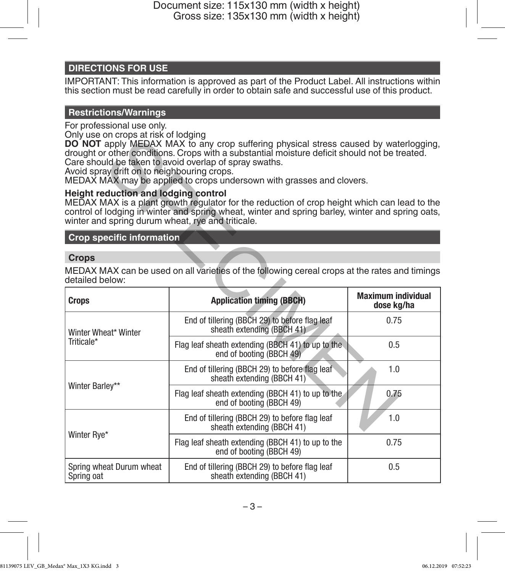# **DIRECTIONS FOR USE**

IMPORTANT: This information is approved as part of the Product Label. All instructions within this section must be read carefully in order to obtain safe and successful use of this product.

### **Restrictions/Warnings**

For professional use only.

Only use on crops at risk of lodging

# **Height reduction and lodging control**

### **Crop specific information**

### **Crops**

| only asc on crops at not or loaging<br>Avoid spray drift on to neighbouring crops.        | DO NOT apply MEDAX MAX to any crop suffering physical stress caused by waterlogging,<br>drought or other conditions. Crops with a substantial moisture deficit should not be treated.<br>Care should be taken to avoid overlap of spray swaths.<br>MEDAX MAX may be applied to crops undersown with grasses and clovers. |                                         |
|-------------------------------------------------------------------------------------------|--------------------------------------------------------------------------------------------------------------------------------------------------------------------------------------------------------------------------------------------------------------------------------------------------------------------------|-----------------------------------------|
| Height reduction and lodging control<br>winter and spring durum wheat, rye and triticale. | MEDAX MAX is a plant growth regulator for the reduction of crop height which can lead to the<br>control of lodging in winter and spring wheat, winter and spring barley, winter and spring oats,                                                                                                                         |                                         |
| <b>Crop specific information</b>                                                          |                                                                                                                                                                                                                                                                                                                          |                                         |
| Crops                                                                                     |                                                                                                                                                                                                                                                                                                                          |                                         |
| detailed below:                                                                           | MEDAX MAX can be used on all varieties of the following cereal crops at the rates and timings                                                                                                                                                                                                                            |                                         |
| <b>Crops</b>                                                                              | <b>Application timing (BBCH)</b>                                                                                                                                                                                                                                                                                         | <b>Maximum individual</b><br>dose ka/ha |
| Winter Wheat* Winter<br>Triticale*                                                        | End of tillering (BBCH 29) to before flag leaf<br>sheath extending (BBCH 41)                                                                                                                                                                                                                                             | 0.75                                    |
|                                                                                           | Flag leaf sheath extending (BBCH 41) to up to the<br>end of booting (BBCH 49)                                                                                                                                                                                                                                            | 0.5                                     |
| Winter Barlev**                                                                           | End of tillering (BBCH 29) to before flag leaf<br>sheath extending (BBCH 41)                                                                                                                                                                                                                                             | 1.0                                     |
|                                                                                           | Flag leaf sheath extending (BBCH 41) to up to the<br>end of booting (BBCH 49)                                                                                                                                                                                                                                            | 0.75                                    |
| Winter Rve*                                                                               | End of tillering (BBCH 29) to before flag leaf<br>sheath extending (BBCH 41)                                                                                                                                                                                                                                             | 1.0                                     |
|                                                                                           | Flag leaf sheath extending (BBCH 41) to up to the<br>end of booting (BBCH 49)                                                                                                                                                                                                                                            | 0.75                                    |
| Spring wheat Durum wheat<br>Spring oat                                                    | End of tillering (BBCH 29) to before flag leaf<br>sheath extending (BBCH 41)                                                                                                                                                                                                                                             | 0.5                                     |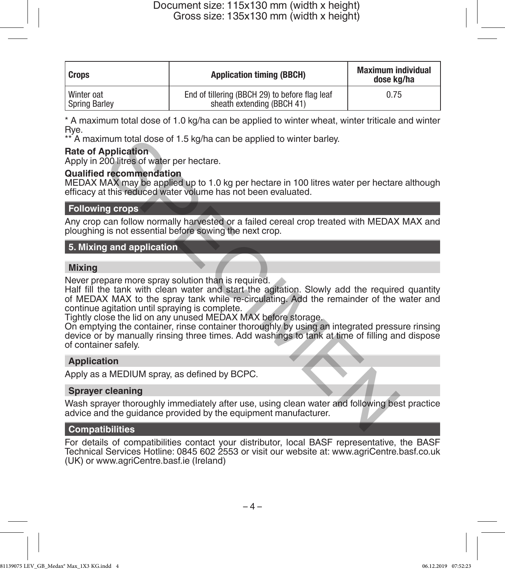| Crops                       | <b>Application timing (BBCH)</b>                                             | <b>Maximum individual</b><br>dose ka/ha |
|-----------------------------|------------------------------------------------------------------------------|-----------------------------------------|
| Winter oat<br>Spring Barley | End of tillering (BBCH 29) to before flag leaf<br>sheath extending (BBCH 41) | 0.75                                    |

\* A maximum total dose of 1.0 kg/ha can be applied to winter wheat, winter triticale and winter Rye.

\*\* A maximum total dose of 1.5 kg/ha can be applied to winter barley.

### **Rate of Application**

Apply in 200 litres of water per hectare.

### **Qualified recommendation**

MEDAX MAX may be applied up to 1.0 kg per hectare in 100 litres water per hectare although efficacy at this reduced water volume has not been evaluated.

### **Following crops**

Any crop can follow normally harvested or a failed cereal crop treated with MEDAX MAX and ploughing is not essential before sowing the next crop.

## **5. Mixing and application**

### **Mixing**

Never prepare more spray solution than is required.

Half fill the tank with clean water and start the agitation. Slowly add the required quantity of MEDAX MAX to the spray tank while re-circulating. Add the remainder of the water and continue agitation until spraying is complete. mum total dose of 1.5 kg/ha can be applied to winter barley.<br>
policition<br>
100 litres of water per hectare.<br>
The commendation<br>
AAS may be applied up to 1.0 kg per hectare in 100 litres water per hectare<br>
AAS may be applied

Tightly close the lid on any unused MEDAX MAX before storage.

On emptying the container, rinse container thoroughly by using an integrated pressure rinsing device or by manually rinsing three times. Add washings to tank at time of filling and dispose of container safely.

### **Application**

Apply as a MEDIUM spray, as defined by BCPC.

### **Sprayer cleaning**

Wash sprayer thoroughly immediately after use, using clean water and following best practice advice and the guidance provided by the equipment manufacturer.

## **Compatibilities**

For details of compatibilities contact your distributor, local BASF representative, the BASF Technical Services Hotline: 0845 602 2553 or visit our website at: www.agriCentre.basf.co.uk (UK) or www.agriCentre.basf.ie (Ireland)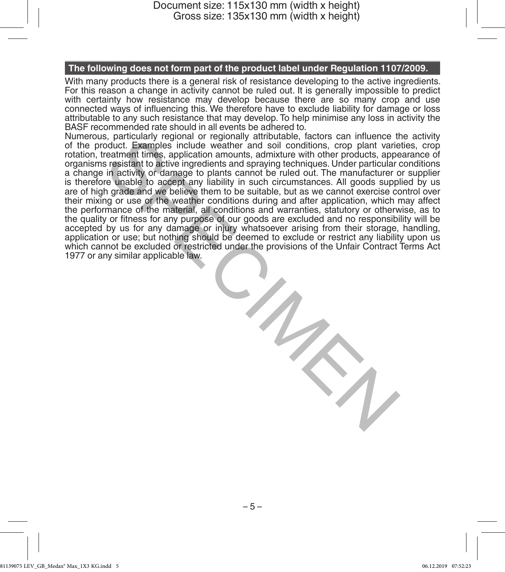### **The following does not form part of the product label under Regulation 1107/2009.**

With many products there is a general risk of resistance developing to the active ingredients. For this reason a change in activity cannot be ruled out. It is generally impossible to predict with certainty how resistance may develop because there are so many crop and use connected ways of influencing this. We therefore have to exclude liability for damage or loss attributable to any such resistance that may develop. To help minimise any loss in activity the BASF recommended rate should in all events be adhered to.

Numerous, particularly regional or regionally attributable, factors can influence the activity of the product. Examples include weather and soil conditions, crop plant varieties, crop rotation, treatment times, application amounts, admixture with other products, appearance of organisms resistant to active ingredients and spraying techniques. Under particular conditions a change in activity or damage to plants cannot be ruled out. The manufacturer or supplier is therefore unable to accept any liability in such circumstances. All goods supplied by us are of high grade and we believe them to be suitable, but as we cannot exercise control over their mixing or use or the weather conditions during and after application, which may affect the performance of the material, all conditions and warranties, statutory or otherwise, as to the quality or fitness for any purpose of our goods are excluded and no responsibility will be accepted by us for any damage or injury whatsoever arising from their storage, handling, application or use; but nothing should be deemed to exclude or restrict any liability upon us which cannot be excluded or restricted under the provisions of the Unfair Contract Terms Act 1977 or any similar applicable law. s, panuality regional or regional particulate, iactors can influence in the specifical coduct. Examples include wealther and soil conditions, crop plant variety readers that in activity or damage to plants cannot be ruled

– 5 –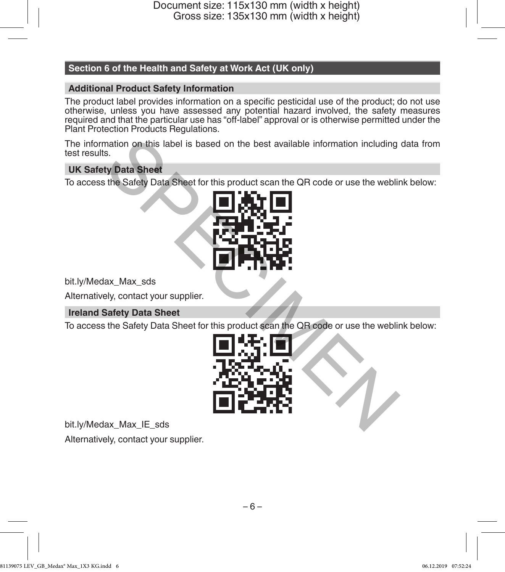# **Section 6 of the Health and Safety at Work Act (UK only)**

### **Additional Product Safety Information**

The product label provides information on a specific pesticidal use of the product; do not use otherwise, unless you have assessed any potential hazard involved, the safety measures required and that the particular use has "off-label" approval or is otherwise permitted under the Plant Protection Products Regulations.

The information on this label is based on the best available information including data from test results.

# **UK Safety Data Sheet**

To access the Safety Data Sheet for this product scan the QR code or use the weblink below:



bit.ly/Medax\_Max\_sds

Alternatively, contact your supplier.

## **Ireland Safety Data Sheet**

To access the Safety Data Sheet for this product scan the QR code or use the weblink below:



bit.ly/Medax\_Max\_IE\_sds Alternatively, contact your supplier.